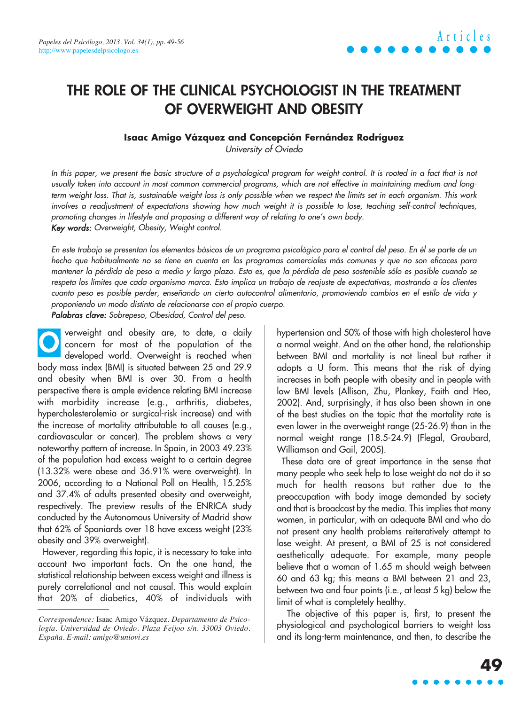### **THE ROLE OF THE CLINICAL PSYCHOLOGIST IN THE TREATMENT OF OVERWEIGHT AND OBESITY**

#### **Isaac Amigo Vázquez and Concepción Fernández Rodríguez**

University of Oviedo

In this paper, we present the basic structure of a psychological program for weight control. It is rooted in a fact that is not usually taken into account in most common commercial programs, which are not effective in maintaining medium and longterm weight loss. That is, sustainable weight loss is only possible when we respect the limits set in each organism. This work involves a readjustment of expectations showing how much weight it is possible to lose, teaching self-control techniques, promoting changes in lifestyle and proposing a different way of relating to one's own body. Key words: Overweight, Obesity, Weight control.

En este trabajo se presentan los elementos básicos de un programa psicológico para el control del peso. En él se parte de un hecho que habitualmente no se tiene en cuenta en los programas comerciales más comunes y que no son eficaces para mantener la pérdida de peso a medio y largo plazo. Esto es, que la pérdida de peso sostenible sólo es posible cuando se respeta los límites que cada organismo marca. Esto implica un trabajo de reajuste de expectativas, mostrando a los clientes cuanto peso es posible perder, enseñando un cierto autocontrol alimentario, promoviendo cambios en el estilo de vida y proponiendo un modo distinto de relacionarse con el propio cuerpo.

Palabras clave: Sobrepeso, Obesidad, Control del peso.

verweight and obesity are, to date, a daily concern for most of the population of the developed world. Overweight is reached when body mass index (BMI) is situated between 25 and 29.9 and obesity when BMI is over 30. From a health perspective there is ample evidence relating BMI increase with morbidity increase (e.g., arthritis, diabetes, hypercholesterolemia or surgical-risk increase) and with the increase of mortality attributable to all causes (e.g., cardiovascular or cancer). The problem shows a very noteworthy pattern of increase. In Spain, in 2003 49.23% of the population had excess weight to a certain degree (13.32% were obese and 36.91% were overweight). In 2006, according to a National Poll on Health, 15.25% and 37.4% of adults presented obesity and overweight, respectively. The preview results of the ENRICA study conducted by the Autonomous University of Madrid show that 62% of Spaniards over 18 have excess weight (23% obesity and 39% overweight). **O**

However, regarding this topic, it is necessary to take into account two important facts. On the one hand, the statistical relationship between excess weight and illness is purely correlational and not causal. This would explain that 20% of diabetics, 40% of individuals with hypertension and 50% of those with high cholesterol have a normal weight. And on the other hand, the relationship between BMI and mortality is not lineal but rather it adopts a U form. This means that the risk of dying increases in both people with obesity and in people with low BMI levels (Allison, Zhu, Plankey, Faith and Heo, 2002). And, surprisingly, it has also been shown in one of the best studies on the topic that the mortality rate is even lower in the overweight range (25-26.9) than in the normal weight range (18.5-24.9) (Flegal, Graubard, Williamson and Gail, 2005).

These data are of great importance in the sense that many people who seek help to lose weight do not do it so much for health reasons but rather due to the preoccupation with body image demanded by society and that is broadcast by the media. This implies that many women, in particular, with an adequate BMI and who do not present any health problems reiteratively attempt to lose weight. At present, a BMI of 25 is not considered aesthetically adequate. For example, many people believe that a woman of 1.65 m should weigh between 60 and 63 kg; this means a BMI between 21 and 23, between two and four points (i.e., at least 5 kg) below the limit of what is completely healthy.

The objective of this paper is, first, to present the physiological and psychological barriers to weight loss and its long-term maintenance, and then, to describe the

*Correspondence:* Isaac Amigo Vázquez. *Departamento de Psicología. Universidad de Oviedo. Plaza Feijoo s/n. 33003 Oviedo. España. E-mail: amigo@uniovi.es*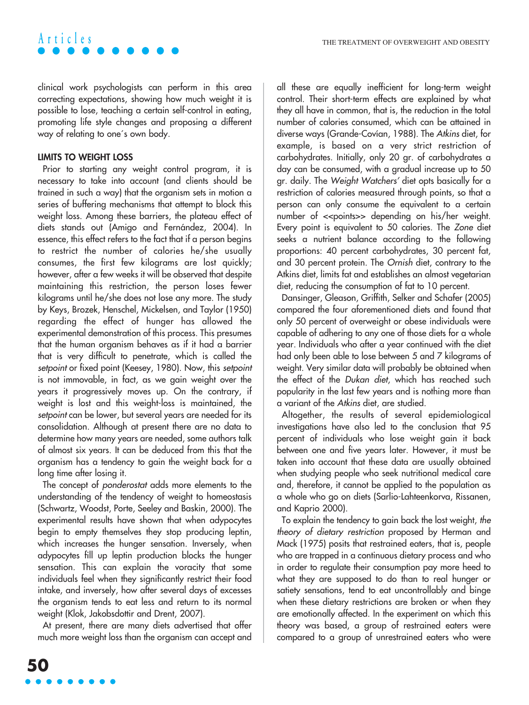clinical work psychologists can perform in this area correcting expectations, showing how much weight it is possible to lose, teaching a certain self-control in eating, promoting life style changes and proposing a different way of relating to one´s own body.

#### **LIMITS TO WEIGHT LOSS**

**Articles**

Prior to starting any weight control program, it is necessary to take into account (and clients should be trained in such a way) that the organism sets in motion a series of buffering mechanisms that attempt to block this weight loss. Among these barriers, the plateau effect of diets stands out (Amigo and Fernández, 2004). In essence, this effect refers to the fact that if a person begins to restrict the number of calories he/she usually consumes, the first few kilograms are lost quickly; however, after a few weeks it will be observed that despite maintaining this restriction, the person loses fewer kilograms until he/she does not lose any more. The study by Keys, Brozek, Henschel, Mickelsen, and Taylor (1950) regarding the effect of hunger has allowed the experimental demonstration of this process. This presumes that the human organism behaves as if it had a barrier that is very difficult to penetrate, which is called the setpoint or fixed point (Keesey, 1980). Now, this setpoint is not immovable, in fact, as we gain weight over the years it progressively moves up. On the contrary, if weight is lost and this weight-loss is maintained, the setpoint can be lower, but several years are needed for its consolidation. Although at present there are no data to determine how many years are needed, some authors talk of almost six years. It can be deduced from this that the organism has a tendency to gain the weight back for a long time after losing it.

The concept of ponderostat adds more elements to the understanding of the tendency of weight to homeostasis (Schwartz, Woodst, Porte, Seeley and Baskin, 2000). The experimental results have shown that when adypocytes begin to empty themselves they stop producing leptin, which increases the hunger sensation. Inversely, when adypocytes fill up leptin production blocks the hunger sensation. This can explain the voracity that some individuals feel when they significantly restrict their food intake, and inversely, how after several days of excesses the organism tends to eat less and return to its normal weight (Klok, Jakobsdottir and Drent, 2007).

At present, there are many diets advertised that offer much more weight loss than the organism can accept and all these are equally inefficient for long-term weight control. Their short-term effects are explained by what they all have in common, that is, the reduction in the total number of calories consumed, which can be attained in diverse ways (Grande-Covían, 1988). The Atkins diet, for example, is based on a very strict restriction of carbohydrates. Initially, only 20 gr. of carbohydrates a day can be consumed, with a gradual increase up to 50 gr. daily. The Weight Watchers' diet opts basically for a restriction of calories measured through points, so that a person can only consume the equivalent to a certain number of << points>> depending on his/her weight. Every point is equivalent to 50 calories. The Zone diet seeks a nutrient balance according to the following proportions: 40 percent carbohydrates, 30 percent fat, and 30 percent protein. The Ornish diet, contrary to the Atkins diet, limits fat and establishes an almost vegetarian diet, reducing the consumption of fat to 10 percent.

Dansinger, Gleason, Griffith, Selker and Schafer (2005) compared the four aforementioned diets and found that only 50 percent of overweight or obese individuals were capable of adhering to any one of those diets for a whole year. Individuals who after a year continued with the diet had only been able to lose between 5 and 7 kilograms of weight. Very similar data will probably be obtained when the effect of the Dukan diet, which has reached such popularity in the last few years and is nothing more than a variant of the Atkins diet, are studied.

Altogether, the results of several epidemiological investigations have also led to the conclusion that 95 percent of individuals who lose weight gain it back between one and five years later. However, it must be taken into account that these data are usually obtained when studying people who seek nutritional medical care and, therefore, it cannot be applied to the population as a whole who go on diets (Sarlio-Lahteenkorva, Rissanen, and Kaprio 2000).

To explain the tendency to gain back the lost weight, the theory of dietary restriction proposed by Herman and Mack (1975) posits that restrained eaters, that is, people who are trapped in a continuous dietary process and who in order to regulate their consumption pay more heed to what they are supposed to do than to real hunger or satiety sensations, tend to eat uncontrollably and binge when these dietary restrictions are broken or when they are emotionally affected. In the experiment on which this theory was based, a group of restrained eaters were compared to a group of unrestrained eaters who were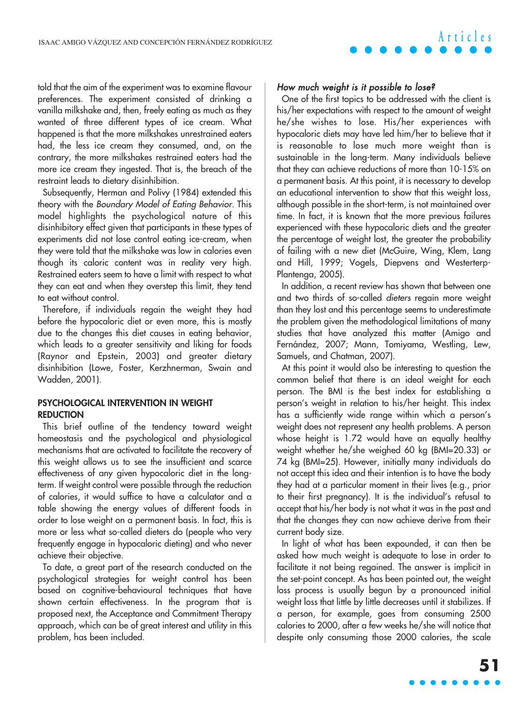told that the aim of the experiment was to examine flavour preferences. The experiment consisted of drinking a vanilla milkshake and, then, freely eating as much as they wanted of three different types of ice cream. What happened is that the more milkshakes unrestrained eaters had, the less ice cream they consumed, and, on the contrary, the more milkshakes restrained eaters had the more ice cream they ingested. That is, the breach of the restraint leads to dietary disinhibition.

Subsequently, Herman and Polivy (1984) extended this theory with the Boundary Model of Eating Behavior. This model highlights the psychological nature of this disinhibitory effect given that participants in these types of experiments did not lose control eating ice-cream, when they were told that the milkshake was low in calories even though its caloric content was in reality very high. Restrained eaters seem to have a limit with respect to what they can eat and when they overstep this limit, they tend to eat without control.

Therefore, if individuals regain the weight they had before the hypocaloric diet or even more, this is mostly due to the changes this diet causes in eating behavior, which leads to a greater sensitivity and liking for foods (Raynor and Epstein, 2003) and greater dietary disinhibition (Lowe, Foster, Kerzhnerman, Swain and Wadden, 2001).

#### **PSYCHOLOGICAL INTERVENTION IN WEIGHT REDUCTION**

This brief outline of the tendency toward weight homeostasis and the psychological and physiological mechanisms that are activated to facilitate the recovery of this weight allows us to see the insufficient and scarce effectiveness of any given hypocaloric diet in the longterm. If weight control were possible through the reduction of calories, it would suffice to have a calculator and a table showing the energy values of different foods in order to lose weight on a permanent basis. In fact, this is more or less what so-called dieters do (people who very frequently engage in hypocaloric dieting) and who never achieve their objective.

To date, a great part of the research conducted on the psychological strategies for weight control has been based on cognitive-behavioural techniques that have shown certain effectiveness. In the program that is proposed next, the Acceptance and Commitment Therapy approach, which can be of great interest and utility in this problem, has been included.

#### How much weight is it possible to lose?

One of the first topics to be addressed with the client is his/her expectations with respect to the amount of weight he/she wishes to lose. His/her experiences with hypocaloric diets may have led him/her to believe that it is reasonable to lose much more weight than is sustainable in the long-term. Many individuals believe that they can achieve reductions of more than 10-15% on a permanent basis. At this point, it is necessary to develop an educational intervention to show that this weight loss, although possible in the short-term, is not maintained over time. In fact, it is known that the more previous failures experienced with these hypocaloric diets and the greater the percentage of weight lost, the greater the probability of failing with a new diet (McGuire, Wing, Klem, Lang and Hill, 1999; Vogels, Diepvens and Westerterp-Plantenga, 2005).

In addition, a recent review has shown that between one and two thirds of so-called dieters regain more weight than they lost and this percentage seems to underestimate the problem given the methodological limitations of many studies that have analyzed this matter (Amigo and Fernández, 2007; Mann, Tomiyama, Westling, Lew, Samuels, and Chatman, 2007).

At this point it would also be interesting to question the common belief that there is an ideal weight for each person. The BMI is the best index for establishing a person's weight in relation to his/her height. This index has a sufficiently wide range within which a person's weight does not represent any health problems. A person whose height is 1.72 would have an equally healthy weight whether he/she weighed 60 kg (BMI=20.33) or 74 kg (BMI=25). However, initially many individuals do not accept this idea and their intention is to have the body they had at a particular moment in their lives (e.g., prior to their first pregnancy). It is the individual's refusal to accept that his/her body is not what it was in the past and that the changes they can now achieve derive from their current body size.

In light of what has been expounded, it can then be asked how much weight is adequate to lose in order to facilitate it not being regained. The answer is implicit in the set-point concept. As has been pointed out, the weight loss process is usually begun by a pronounced initial weight loss that little by little decreases until it stabilizes. If a person, for example, goes from consuming 2500 calories to 2000, after a few weeks he/she will notice that despite only consuming those 2000 calories, the scale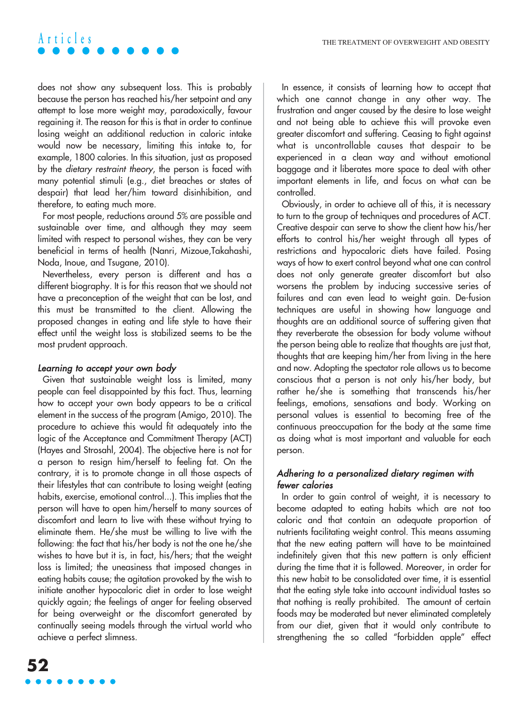does not show any subsequent loss. This is probably because the person has reached his/her setpoint and any attempt to lose more weight may, paradoxically, favour regaining it. The reason for this is that in order to continue losing weight an additional reduction in caloric intake would now be necessary, limiting this intake to, for example, 1800 calories. In this situation, just as proposed by the dietary restraint theory, the person is faced with many potential stimuli (e.g., diet breaches or states of despair) that lead her/him toward disinhibition, and therefore, to eating much more.

For most people, reductions around 5% are possible and sustainable over time, and although they may seem limited with respect to personal wishes, they can be very beneficial in terms of health (Nanri, Mizoue,Takahashi, Noda, Inoue, and Tsugane, 2010).

Nevertheless, every person is different and has a different biography. It is for this reason that we should not have a preconception of the weight that can be lost, and this must be transmitted to the client. Allowing the proposed changes in eating and life style to have their effect until the weight loss is stabilized seems to be the most prudent approach.

#### Learning to accept your own body

Given that sustainable weight loss is limited, many people can feel disappointed by this fact. Thus, learning how to accept your own body appears to be a critical element in the success of the program (Amigo, 2010). The procedure to achieve this would fit adequately into the logic of the Acceptance and Commitment Therapy (ACT) (Hayes and Strosahl, 2004). The objective here is not for a person to resign him/herself to feeling fat. On the contrary, it is to promote change in all those aspects of their lifestyles that can contribute to losing weight (eating habits, exercise, emotional control...). This implies that the person will have to open him/herself to many sources of discomfort and learn to live with these without trying to eliminate them. He/she must be willing to live with the following: the fact that his/her body is not the one he/she wishes to have but it is, in fact, his/hers; that the weight loss is limited; the uneasiness that imposed changes in eating habits cause; the agitation provoked by the wish to initiate another hypocaloric diet in order to lose weight quickly again; the feelings of anger for feeling observed for being overweight or the discomfort generated by continually seeing models through the virtual world who achieve a perfect slimness.

In essence, it consists of learning how to accept that which one cannot change in any other way. The frustration and anger caused by the desire to lose weight and not being able to achieve this will provoke even greater discomfort and suffering. Ceasing to fight against what is uncontrollable causes that despair to be experienced in a clean way and without emotional baggage and it liberates more space to deal with other important elements in life, and focus on what can be controlled.

Obviously, in order to achieve all of this, it is necessary to turn to the group of techniques and procedures of ACT. Creative despair can serve to show the client how his/her efforts to control his/her weight through all types of restrictions and hypocaloric diets have failed. Posing ways of how to exert control beyond what one can control does not only generate greater discomfort but also worsens the problem by inducing successive series of failures and can even lead to weight gain. De-fusion techniques are useful in showing how language and thoughts are an additional source of suffering given that they reverberate the obsession for body volume without the person being able to realize that thoughts are just that, thoughts that are keeping him/her from living in the here and now. Adopting the spectator role allows us to become conscious that a person is not only his/her body, but rather he/she is something that transcends his/her feelings, emotions, sensations and body. Working on personal values is essential to becoming free of the continuous preoccupation for the body at the same time as doing what is most important and valuable for each person.

#### Adhering to a personalized dietary regimen with fewer calories

In order to gain control of weight, it is necessary to become adapted to eating habits which are not too caloric and that contain an adequate proportion of nutrients facilitating weight control. This means assuming that the new eating pattern will have to be maintained indefinitely given that this new pattern is only efficient during the time that it is followed. Moreover, in order for this new habit to be consolidated over time, it is essential that the eating style take into account individual tastes so that nothing is really prohibited. The amount of certain foods may be moderated but never eliminated completely from our diet, given that it would only contribute to strengthening the so called "forbidden apple" effect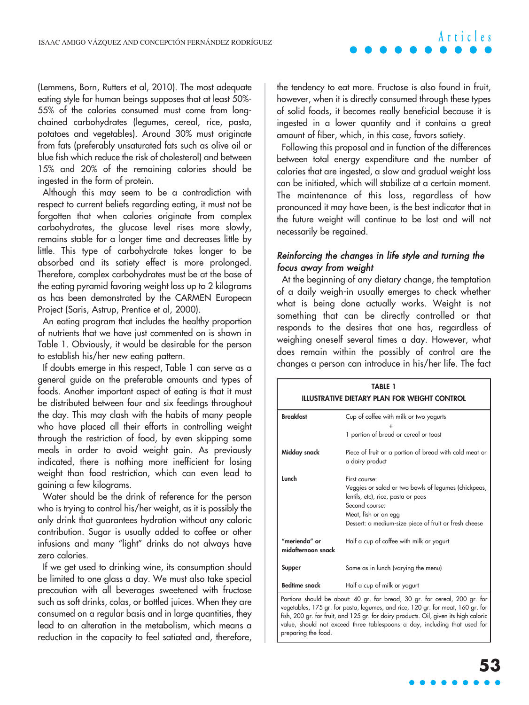#### (Lemmens, Born, Rutters et al, 2010). The most adequate eating style for human beings supposes that at least 50%- 55% of the calories consumed must come from longchained carbohydrates (legumes, cereal, rice, pasta, potatoes and vegetables). Around 30% must originate from fats (preferably unsaturated fats such as olive oil or blue fish which reduce the risk of cholesterol) and between 15% and 20% of the remaining calories should be ingested in the form of protein.

Although this may seem to be a contradiction with respect to current beliefs regarding eating, it must not be forgotten that when calories originate from complex carbohydrates, the glucose level rises more slowly, remains stable for a longer time and decreases little by little. This type of carbohydrate takes longer to be absorbed and its satiety effect is more prolonged. Therefore, complex carbohydrates must be at the base of the eating pyramid favoring weight loss up to 2 kilograms as has been demonstrated by the CARMEN European Project (Saris, Astrup, Prentice et al, 2000).

An eating program that includes the healthy proportion of nutrients that we have just commented on is shown in Table 1. Obviously, it would be desirable for the person to establish his/her new eating pattern.

If doubts emerge in this respect, Table 1 can serve as a general guide on the preferable amounts and types of foods. Another important aspect of eating is that it must be distributed between four and six feedings throughout the day. This may clash with the habits of many people who have placed all their efforts in controlling weight through the restriction of food, by even skipping some meals in order to avoid weight gain. As previously indicated, there is nothing more inefficient for losing weight than food restriction, which can even lead to gaining a few kilograms.

Water should be the drink of reference for the person who is trying to control his/her weight, as it is possibly the only drink that guarantees hydration without any caloric contribution. Sugar is usually added to coffee or other infusions and many "light" drinks do not always have zero calories.

If we get used to drinking wine, its consumption should be limited to one glass a day. We must also take special precaution with all beverages sweetened with fructose such as soft drinks, colas, or bottled juices. When they are consumed on a regular basis and in large quantities, they lead to an alteration in the metabolism, which means a reduction in the capacity to feel satiated and, therefore, the tendency to eat more. Fructose is also found in fruit, however, when it is directly consumed through these types of solid foods, it becomes really beneficial because it is ingested in a lower quantity and it contains a great amount of fiber, which, in this case, favors satiety.

Following this proposal and in function of the differences between total energy expenditure and the number of calories that are ingested, a slow and gradual weight loss can be initiated, which will stabilize at a certain moment. The maintenance of this loss, regardless of how pronounced it may have been, is the best indicator that in the future weight will continue to be lost and will not necessarily be regained.

#### Reinforcing the changes in life style and turning the focus away from weight

At the beginning of any dietary change, the temptation of a daily weigh-in usually emerges to check whether what is being done actually works. Weight is not something that can be directly controlled or that responds to the desires that one has, regardless of weighing oneself several times a day. However, what does remain within the possibly of control are the changes a person can introduce in his/her life. The fact

| TABLE 1<br>ILLUSTRATIVE DIETARY PLAN FOR WEIGHT CONTROL                                                                                                                                                                                                                                                                                                   |                                                                                                                                                                                                                |
|-----------------------------------------------------------------------------------------------------------------------------------------------------------------------------------------------------------------------------------------------------------------------------------------------------------------------------------------------------------|----------------------------------------------------------------------------------------------------------------------------------------------------------------------------------------------------------------|
| <b>Breakfast</b>                                                                                                                                                                                                                                                                                                                                          | Cup of coffee with milk or two yogurts                                                                                                                                                                         |
|                                                                                                                                                                                                                                                                                                                                                           | 1 portion of bread or cereal or toast                                                                                                                                                                          |
| Midday snack                                                                                                                                                                                                                                                                                                                                              | Piece of fruit or a portion of bread with cold meat or<br>a dairy product                                                                                                                                      |
| Lunch                                                                                                                                                                                                                                                                                                                                                     | First course:<br>Veggies or salad or two bowls of legumes (chickpeas,<br>lentils, etc), rice, pasta or peas<br>Second course:<br>Meat, fish or an egg<br>Dessert: a medium-size piece of fruit or fresh cheese |
| "merienda" or<br>midafternoon snack                                                                                                                                                                                                                                                                                                                       | Half a cup of coffee with milk or yogurt                                                                                                                                                                       |
| Supper                                                                                                                                                                                                                                                                                                                                                    | Same as in lunch (varying the menu)                                                                                                                                                                            |
| <b>Bedtime snack</b>                                                                                                                                                                                                                                                                                                                                      | Half a cup of milk or yogurt                                                                                                                                                                                   |
| Portions should be about: 40 gr. for bread, 30 gr. for cereal, 200 gr. for<br>vegetables, 175 gr. for pasta, legumes, and rice, 120 gr. for meat, 160 gr. for<br>fish, 200 gr. for fruit, and 125 gr. for dairy products. Oil, given its high caloric<br>value, should not exceed three tablespoons a day, including that used for<br>preparing the food. |                                                                                                                                                                                                                |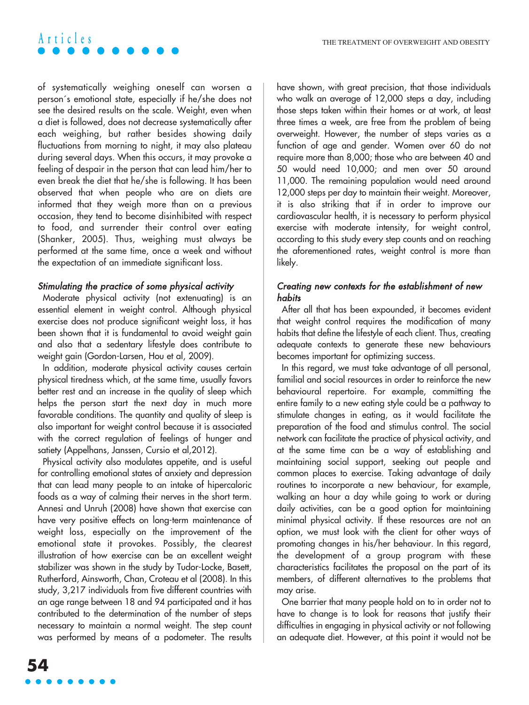of systematically weighing oneself can worsen a person´s emotional state, especially if he/she does not see the desired results on the scale. Weight, even when a diet is followed, does not decrease systematically after each weighing, but rather besides showing daily fluctuations from morning to night, it may also plateau during several days. When this occurs, it may provoke a feeling of despair in the person that can lead him/her to even break the diet that he/she is following. It has been observed that when people who are on diets are informed that they weigh more than on a previous occasion, they tend to become disinhibited with respect to food, and surrender their control over eating (Shanker, 2005). Thus, weighing must always be performed at the same time, once a week and without the expectation of an immediate significant loss.

#### Stimulating the practice of some physical activity

Moderate physical activity (not extenuating) is an essential element in weight control. Although physical exercise does not produce significant weight loss, it has been shown that it is fundamental to avoid weight gain and also that a sedentary lifestyle does contribute to weight gain (Gordon-Larsen, Hou et al, 2009).

In addition, moderate physical activity causes certain physical tiredness which, at the same time, usually favors better rest and an increase in the quality of sleep which helps the person start the next day in much more favorable conditions. The quantity and quality of sleep is also important for weight control because it is associated with the correct regulation of feelings of hunger and satiety (Appelhans, Janssen, Cursio et al,2012).

Physical activity also modulates appetite, and is useful for controlling emotional states of anxiety and depression that can lead many people to an intake of hipercaloric foods as a way of calming their nerves in the short term. Annesi and Unruh (2008) have shown that exercise can have very positive effects on long-term maintenance of weight loss, especially on the improvement of the emotional state it provokes. Possibly, the clearest illustration of how exercise can be an excellent weight stabilizer was shown in the study by Tudor-Locke, Basett, Rutherford, Ainsworth, Chan, Croteau et al (2008). In this study, 3,217 individuals from five different countries with an age range between 18 and 94 participated and it has contributed to the determination of the number of steps necessary to maintain a normal weight. The step count was performed by means of a podometer. The results have shown, with great precision, that those individuals who walk an average of 12,000 steps a day, including those steps taken within their homes or at work, at least three times a week, are free from the problem of being overweight. However, the number of steps varies as a function of age and gender. Women over 60 do not require more than 8,000; those who are between 40 and 50 would need 10,000; and men over 50 around 11,000. The remaining population would need around 12,000 steps per day to maintain their weight. Moreover, it is also striking that if in order to improve our cardiovascular health, it is necessary to perform physical exercise with moderate intensity, for weight control, according to this study every step counts and on reaching the aforementioned rates, weight control is more than likely.

#### Creating new contexts for the establishment of new habits

After all that has been expounded, it becomes evident that weight control requires the modification of many habits that define the lifestyle of each client. Thus, creating adequate contexts to generate these new behaviours becomes important for optimizing success.

In this regard, we must take advantage of all personal, familial and social resources in order to reinforce the new behavioural repertoire. For example, committing the entire family to a new eating style could be a pathway to stimulate changes in eating, as it would facilitate the preparation of the food and stimulus control. The social network can facilitate the practice of physical activity, and at the same time can be a way of establishing and maintaining social support, seeking out people and common places to exercise. Taking advantage of daily routines to incorporate a new behaviour, for example, walking an hour a day while going to work or during daily activities, can be a good option for maintaining minimal physical activity. If these resources are not an option, we must look with the client for other ways of promoting changes in his/her behaviour. In this regard, the development of a group program with these characteristics facilitates the proposal on the part of its members, of different alternatives to the problems that may arise.

One barrier that many people hold on to in order not to have to change is to look for reasons that justify their difficulties in engaging in physical activity or not following an adequate diet. However, at this point it would not be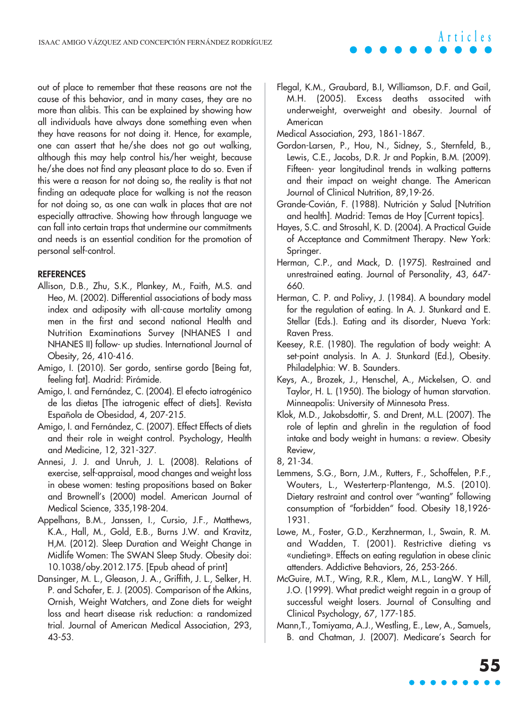out of place to remember that these reasons are not the cause of this behavior, and in many cases, they are no more than alibis. This can be explained by showing how all individuals have always done something even when they have reasons for not doing it. Hence, for example, one can assert that he/she does not go out walking, although this may help control his/her weight, because he/she does not find any pleasant place to do so. Even if this were a reason for not doing so, the reality is that not finding an adequate place for walking is not the reason for not doing so, as one can walk in places that are not especially attractive. Showing how through language we can fall into certain traps that undermine our commitments and needs is an essential condition for the promotion of personal self-control.

#### **REFERENCES**

- Allison, D.B., Zhu, S.K., Plankey, M., Faith, M.S. and Heo, M. (2002). Differential associations of body mass index and adiposity with all-cause mortality among men in the first and second national Health and Nutrition Examinations Survey (NHANES I and NHANES II) follow- up studies. International Journal of Obesity, 26, 410-416.
- Amigo, I. (2010). Ser gordo, sentirse gordo [Being fat, feeling fat]. Madrid: Pirámide.
- Amigo, I. and Fernández, C. (2004). El efecto iatrogénico de las dietas [The iatrogenic effect of diets]. Revista Española de Obesidad, 4, 207-215.
- Amigo, I. and Fernández, C. (2007). Effect Effects of diets and their role in weight control. Psychology, Health and Medicine, 12, 321-327.
- Annesi, J. J. and Unruh, J. L. (2008). Relations of exercise, self-appraisal, mood changes and weight loss in obese women: testing propositions based on Baker and Brownell's (2000) model. American Journal of Medical Science, 335,198-204.
- Appelhans, B.M., Janssen, I., Cursio, J.F., Matthews, K.A., Hall, M., Gold, E.B., Burns J.W. and Kravitz, H,M. (2012). Sleep Duration and Weight Change in Midlife Women: The SWAN Sleep Study. Obesity doi: 10.1038/oby.2012.175. [Epub ahead of print]
- Dansinger, M. L., Gleason, J. A., Griffith, J. L., Selker, H. P. and Schafer, E. J. (2005). Comparison of the Atkins, Ornish, Weight Watchers, and Zone diets for weight loss and heart disease risk reduction: a randomized trial. Journal of American Medical Association, 293, 43-53.

Flegal, K.M., Graubard, B.I, Williamson, D.F. and Gail, M.H. (2005). Excess deaths associted with underweight, overweight and obesity. Journal of American

**Articles**

- Medical Association, 293, 1861-1867.
- Gordon-Larsen, P., Hou, N., Sidney, S., Sternfeld, B., Lewis, C.E., Jacobs, D.R. Jr and Popkin, B.M. (2009). Fifteen- year longitudinal trends in walking patterns and their impact on weight change. The American Journal of Clinical Nutrition, 89,19-26.
- Grande-Covián, F. (1988). Nutrición y Salud [Nutrition and health]. Madrid: Temas de Hoy [Current topics].
- Hayes, S.C. and Strosahl, K. D. (2004). A Practical Guide of Acceptance and Commitment Therapy. New York: Springer.
- Herman, C.P., and Mack, D. (1975). Restrained and unrestrained eating. Journal of Personality, 43, 647- 660.
- Herman, C. P. and Polivy, J. (1984). A boundary model for the regulation of eating. In A. J. Stunkard and E. Stellar (Eds.). Eating and its disorder, Nueva York: Raven Press.
- Keesey, R.E. (1980). The regulation of body weight: A set-point analysis. In A. J. Stunkard (Ed.), Obesity. Philadelphia: W. B. Saunders.
- Keys, A., Brozek, J., Henschel, A., Mickelsen, O. and Taylor, H. L. (1950). The biology of human starvation. Minneapolis: University of Minnesota Press.
- Klok, M.D., Jakobsdottir, S. and Drent, M.L. (2007). The role of leptin and ghrelin in the regulation of food intake and body weight in humans: a review. Obesity Review,
- 8, 21-34.
- Lemmens, S.G., Born, J.M., Rutters, F., Schoffelen, P.F., Wouters, L., Westerterp-Plantenga, M.S. (2010). Dietary restraint and control over "wanting" following consumption of "forbidden" food. Obesity 18,1926- 1931.
- Lowe, M., Foster, G.D., Kerzhnerman, I., Swain, R. M. and Wadden, T. (2001). Restrictive dieting vs «undieting». Effects on eating regulation in obese clinic attenders. Addictive Behaviors, 26, 253-266.
- McGuire, M.T., Wing, R.R., Klem, M.L., LangW. Y Hill, J.O. (1999). What predict weight regain in a group of successful weight losers. Journal of Consulting and Clinical Psychology, 67, 177-185.
- Mann,T., Tomiyama, A.J., Westling, E., Lew, A., Samuels, B. and Chatman, J. (2007). Medicare's Search for